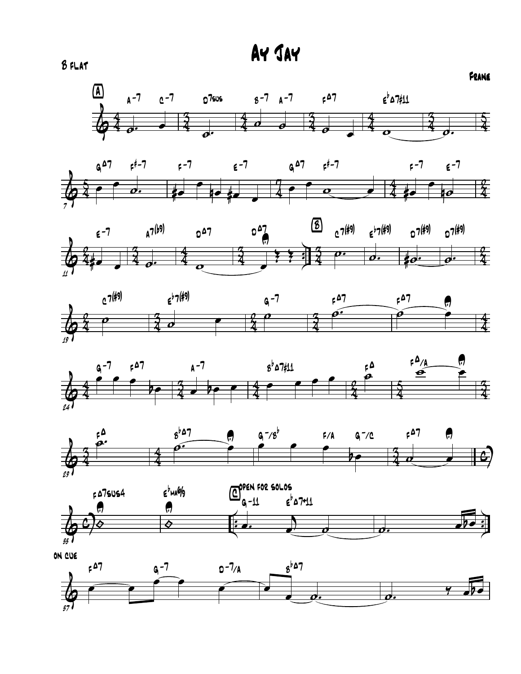













on cue